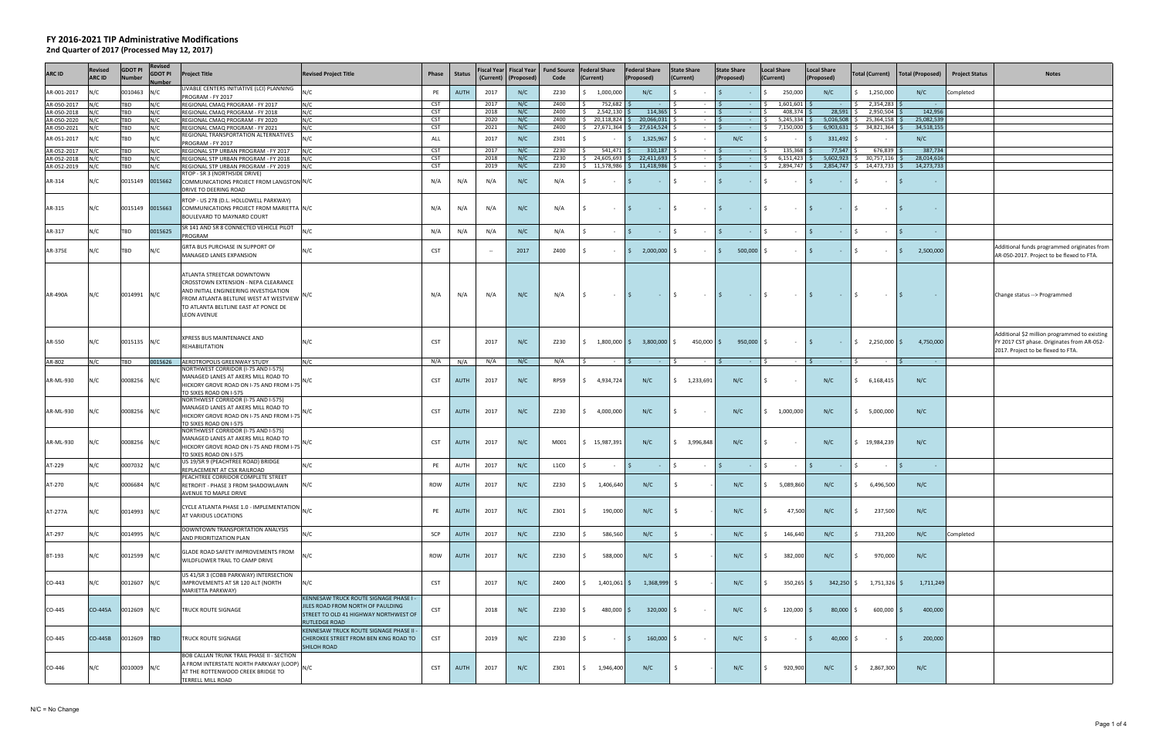| <b>ARC ID</b>              | Revised<br>ARC ID | <b>GDOT PI</b><br><b>Number</b> | <b>Revised</b><br><b>GDOT PI</b><br>umber | <b>Project Title</b>                                                                                                                                                                                                | <b>Revised Project Title</b>                                                                                                               | Phase                    | <b>Status</b> |              | Fiscal Year   Fiscal Year<br>(Current)   (Proposed) | <b>Fund Source</b><br>Code | <b>Federal Share</b><br>(Current)                             | <b>Federal Share</b><br>(Proposed)    | <b>State Share</b><br>(Current)                      | <b>State Share</b><br>(Proposed) | <b>Local Share</b><br>(Current) | <b>Local Share</b><br>(Proposed)                 | <b>Total (Current)</b>                   | Total (Proposed)         | <b>Project Status</b> | <b>Notes</b>                                                                                                                      |
|----------------------------|-------------------|---------------------------------|-------------------------------------------|---------------------------------------------------------------------------------------------------------------------------------------------------------------------------------------------------------------------|--------------------------------------------------------------------------------------------------------------------------------------------|--------------------------|---------------|--------------|-----------------------------------------------------|----------------------------|---------------------------------------------------------------|---------------------------------------|------------------------------------------------------|----------------------------------|---------------------------------|--------------------------------------------------|------------------------------------------|--------------------------|-----------------------|-----------------------------------------------------------------------------------------------------------------------------------|
| AR-001-2017                |                   | 0010463                         | N/C                                       | LIVABLE CENTERS INITIATIVE (LCI) PLANNING<br>PROGRAM - FY 2017                                                                                                                                                      | ١/C                                                                                                                                        | PE                       | <b>AUTH</b>   | 2017         | N/C                                                 | Z230                       | 1,000,000                                                     | N/C                                   |                                                      |                                  | 250,000                         | N/C                                              | 1,250,000                                | N/C                      | Completed             |                                                                                                                                   |
| AR-050-2017                | N/C               | <b>TBD</b>                      | N/C                                       | REGIONAL CMAQ PROGRAM - FY 2017                                                                                                                                                                                     | N/C                                                                                                                                        | CST                      |               | 2017         | N/C                                                 | Z400                       | 752,682                                                       |                                       | l \$                                                 | IS.<br>$\sim$                    | $1,601,601$ \$                  | <b>Contractor</b>                                | 2,354,283<br>IS.                         |                          |                       |                                                                                                                                   |
| AR-050-2018                | N/C               | <b>TBD</b>                      | N/C                                       | REGIONAL CMAQ PROGRAM - FY 2018                                                                                                                                                                                     | N/C                                                                                                                                        | <b>CST</b>               |               | 2018         | N/C                                                 | Z400                       | 2,542,130                                                     | 114,365                               | $\sim 100$                                           | $\sim 100$                       | 408,374 \$                      | 28,591                                           | 2,950,504                                | 142,956                  |                       |                                                                                                                                   |
| AR-050-2020<br>AR-050-2021 | N/C<br>N/C        | TBD<br>TBD                      | N/C<br>N/C                                | REGIONAL CMAQ PROGRAM - FY 2020<br>REGIONAL CMAQ PROGRAM - FY 2021                                                                                                                                                  | N/C<br>N/C                                                                                                                                 | CST<br>CST               |               | 2020<br>2021 | N/C<br>N/C                                          | Z400<br>Z400               | $$20,118,824$ \$<br>$\frac{1}{2}$ 27,671,364 \$ 27,614,524 \$ | 20,066,031                            | <b>Contract Contract</b><br><b>Contract Contract</b> | IS.<br>$\sim 100$                | $5,245,334$ \$<br>7,150,000 \$  | 5,016,508                                        | 25,364,158<br>$6,903,631$ \$ 34,821,364  | 25,082,539<br>34,518,155 |                       |                                                                                                                                   |
|                            |                   |                                 |                                           | REGIONAL TRANSPORTATION ALTERNATIVES                                                                                                                                                                                |                                                                                                                                            |                          |               |              |                                                     |                            |                                                               |                                       |                                                      |                                  |                                 |                                                  |                                          |                          |                       |                                                                                                                                   |
| AR-051-2017                |                   | TBD                             | N/C                                       | PROGRAM - FY 2017                                                                                                                                                                                                   | N/C                                                                                                                                        | ALL                      |               | 2017         | N/C                                                 | Z301                       |                                                               | 1,325,967<br>S.                       | $\sim$                                               | N/C                              |                                 | 331,492<br>l S                                   |                                          | N/C                      |                       |                                                                                                                                   |
| AR-052-2017                |                   | TBD                             | N/C                                       | REGIONAL STP URBAN PROGRAM - FY 2017                                                                                                                                                                                | N/C                                                                                                                                        | CST                      |               | 2017         | N/C                                                 | Z230                       | $541,471$ \$                                                  | 310,187                               | $\sim$ $-$                                           |                                  | 135,368 \$                      | 77,547                                           | 676,839                                  | 387,734                  |                       |                                                                                                                                   |
| AR-052-2018                |                   | TBD                             | N/C                                       | REGIONAL STP URBAN PROGRAM - FY 2018<br>REGIONAL STP URBAN PROGRAM - FY 2019                                                                                                                                        | N/C                                                                                                                                        | <b>CST</b><br><b>CST</b> |               | 2018<br>2019 | N/C<br>N/C                                          | Z230<br>Z230               | \$24,605,693<br>$$11,578,986$ \$                              | 22,411,693<br>11,418,986              | $\sim$<br>$\sim$                                     | $\sim$<br>S.                     | 6,151,423<br>2,894,747 \$       | 5,602,923                                        | 30,757,116<br>2,854,747 \$ 14,473,733    | 28,014,616<br>14,273,733 |                       |                                                                                                                                   |
| AR-052-2019                |                   | <b>TBD</b>                      | N/C                                       | RTOP - SR 3 (NORTHSIDE DRIVE)                                                                                                                                                                                       | N/C                                                                                                                                        |                          |               |              |                                                     |                            |                                                               |                                       |                                                      | $\sim$                           |                                 |                                                  |                                          |                          |                       |                                                                                                                                   |
| AR-314                     | N/C               | 0015149                         | 0015662                                   | COMMUNICATIONS PROJECT FROM LANGSTON N/C<br><b>DRIVE TO DEERING ROAD</b>                                                                                                                                            |                                                                                                                                            | N/A                      | N/A           | N/A          | N/C                                                 | N/A                        | \$<br>$\sim$                                                  | S.<br>$\sim 100$                      | $\vert$ \$<br>$\sim 100$ m $^{-1}$                   | IS.<br>$\sim$ $-$                | \$<br>$\sim$ $-$                | I \$<br><b>Contract</b>                          | Ś.<br>$\sim$                             |                          |                       |                                                                                                                                   |
| AR-315                     | N/C               | 0015149 0015663                 |                                           | RTOP - US 278 (D.L. HOLLOWELL PARKWAY)<br>COMMUNICATIONS PROJECT FROM MARIETTA N/C<br>BOULEVARD TO MAYNARD COURT                                                                                                    |                                                                                                                                            | N/A                      | N/A           | N/A          | N/C                                                 | N/A                        | I\$.<br>$\sim 10^{-11}$                                       | IS .<br>$ \sqrt{5}$                   | $ \sqrt{5}$                                          | $\sim 10^{-1}$                   | I\$.<br>$\sim$ $-$              | $\sim$<br>$ \sqrt{5}$                            | $\sim$ $-$                               |                          |                       |                                                                                                                                   |
| AR-317                     | N/C               | TBD                             | 0015625                                   | SR 141 AND SR 8 CONNECTED VEHICLE PILOT<br>PROGRAM                                                                                                                                                                  | N/C                                                                                                                                        | N/A                      | N/A           | N/A          | N/C                                                 | N/A                        | S.<br>$\sim$                                                  | $\mathsf{S}$<br>$ \sim$               | $\sim$                                               | I \$<br>$\sim 10^{-1}$           | l s<br>$\sim$ $ \sim$           | $\vert$ \$<br>$ \sqrt{5}$                        | $\sim$                                   | $\sim$                   |                       |                                                                                                                                   |
| AR-375E                    | N/C               | TBD                             | N/C                                       | GRTA BUS PURCHASE IN SUPPORT OF<br>MANAGED LANES EXPANSION                                                                                                                                                          | N/C                                                                                                                                        | <b>CST</b>               |               | $\sim$       | 2017                                                | Z400                       | S.                                                            | $\frac{1}{2}$ 2,000,000 \$            | $\sim 100$                                           | $500,000$ \$<br>IS.              | $\sim 100$                      | I \$<br>$-$ 5                                    | $\sim$                                   | 2,500,000                |                       | Additional funds programmed originates from<br>AR-050-2017. Project to be flexed to FTA.                                          |
| AR-490A                    | N/C               | 0014991 N/C                     |                                           | ATLANTA STREETCAR DOWNTOWN<br>CROSSTOWN EXTENSION - NEPA CLEARANCE<br>AND INITIAL ENGINEERING INVESTIGATION<br>FROM ATLANTA BELTLINE WEST AT WESTVIEW<br>TO ATLANTA BELTLINE EAST AT PONCE DE<br><b>LEON AVENUE</b> | N/C                                                                                                                                        | N/A                      | N/A           | N/A          | N/C                                                 | N/A                        | I\$.<br>$\sim$ $-$                                            | $\vert$ \$<br>$\sim 100$ km s $^{-1}$ | $\mathsf{S}$<br>$\sim 100$                           | I \$<br>$\sim 10^{-1}$           | $\vert$ \$<br>$\sim 100$        | $\vert$ \$<br>$\sim$ $\sim$ $\sim$ $\sim$ $\sim$ | <b>Contract</b>                          | IS.<br>$\sim$            |                       | Change status --> Programmed                                                                                                      |
| AR-550                     | N/C               | 0015135 N/C                     |                                           | XPRESS BUS MAINTENANCE AND<br>REHABILITATION                                                                                                                                                                        | N/C                                                                                                                                        | CST                      |               | 2017         | N/C                                                 | Z230                       | $\frac{1}{2}$ 1,800,000 $\frac{1}{2}$ 3,800,000 $\frac{1}{2}$ |                                       | 450,000 \$                                           | $950,000$ \$                     | $\sim 10^{-1}$                  | $\vert$ \$                                       | $\frac{1}{2}$ $\frac{1}{2}$ 2,250,000 \$ | 4,750,000                |                       | Additional \$2 million programmed to existing<br>FY 2017 CST phase. Originates from AR-052-<br>2017. Project to be flexed to FTA. |
| AR-802                     | N/C               | TBD                             | 0015626                                   | AEROTROPOLIS GREENWAY STUDY<br>NORTHWEST CORRIDOR (I-75 AND I-575)                                                                                                                                                  | N/C                                                                                                                                        | N/A                      | N/A           | N/A          | N/C                                                 | N/A                        | S.<br>$\sim 100$                                              | S.<br>$\sim 100$                      | IS.<br>$\sim 10^{-11}$                               | IS.<br><b>Contract</b>           | $ \sqrt{5}$                     | <b>Contractor</b>                                | I S.<br>$\sim 100$                       | <b>College</b>           |                       |                                                                                                                                   |
| AR-ML-930                  | N/C               | 0008256 N/C                     |                                           | MANAGED LANES AT AKERS MILL ROAD TO<br>HICKORY GROVE ROAD ON I-75 AND FROM I-75<br>TO SIXES ROAD ON I-575                                                                                                           |                                                                                                                                            | CST                      | <b>AUTH</b>   | 2017         | N/C                                                 | RPS9                       | \$4,934,724]                                                  | N/C                                   | $\frac{1}{2}$ 1,233,691                              | N/C                              | S.<br>$\sim$ $-$                | N/C                                              | \$6,168,415                              | N/C                      |                       |                                                                                                                                   |
| AR-ML-930                  | N/C               | 0008256 N/C                     |                                           | NORTHWEST CORRIDOR (I-75 AND I-575)<br>MANAGED LANES AT AKERS MILL ROAD TO<br>HICKORY GROVE ROAD ON I-75 AND FROM I-75<br>TO SIXES ROAD ON I-575                                                                    |                                                                                                                                            | <b>CST</b>               | AUTH          | 2017         | N/C                                                 | Z230                       | \$4,000,000                                                   | N/C                                   | l S<br>$\sim$                                        | N/C                              | \$1,000,000                     | N/C                                              | \$,000,000                               | N/C                      |                       |                                                                                                                                   |
| AR-ML-930                  | N/C               | 0008256 N/C                     |                                           | NORTHWEST CORRIDOR (I-75 AND I-575)<br>MANAGED LANES AT AKERS MILL ROAD TO<br>HICKORY GROVE ROAD ON I-75 AND FROM I-75<br>TO SIXES ROAD ON I-575                                                                    | N/C                                                                                                                                        | CST                      | AUTH          | 2017         | N/C                                                 | M001                       | \$15,987,391                                                  | N/C                                   | \$3,996,848                                          | N/C                              | S.<br>$\sim$ $-$                | N/C                                              | \$19,984,239                             | N/C                      |                       |                                                                                                                                   |
| AT-229                     | N/C               | 0007032                         | N/C                                       | US 19/SR 9 (PEACHTREE ROAD) BRIDGE<br>REPLACEMENT AT CSX RAILROAD                                                                                                                                                   | N/C                                                                                                                                        | PE                       | AUTH          | 2017         | N/C                                                 | L1CO                       | Ŝ.<br>$\sim$                                                  | S.<br>$\sim$                          | $\mathsf{I}$<br>$\sim 100$                           | I\$.<br>$\sim$ $-$               | Ŝ.                              | I \$                                             | Ś.<br>$\sim$                             |                          |                       |                                                                                                                                   |
| AT-270                     | N/C               | 0006684                         | N/C                                       | PEACHTREE CORRIDOR COMPLETE STREET<br>RETROFIT - PHASE 3 FROM SHADOWLAWN<br><b>AVENUE TO MAPLE DRIVE</b>                                                                                                            | N/C                                                                                                                                        | ROW                      | AUTH          | 2017         | N/C                                                 | Z230                       | 1,406,640<br>S.                                               | N/C                                   |                                                      | N/C                              | 5,089,860                       | N/C                                              | 6,496,500                                | N/C                      |                       |                                                                                                                                   |
| AT-277A                    | N/C               | 0014993 N/C                     |                                           | CYCLE ATLANTA PHASE 1.0 - IMPLEMENTATION N/C<br>AT VARIOUS LOCATIONS                                                                                                                                                |                                                                                                                                            | PE                       | AUTH          | 2017         | N/C                                                 | Z301                       | \$<br>190,000                                                 | N/C                                   | $\ddot{\mathsf{s}}$                                  | N/C                              | 47,500<br>S.                    | N/C                                              | $\mathsf{S}$<br>237,500                  | N/C                      |                       |                                                                                                                                   |
| AT-297                     | N/C               | 0014995                         | N/C                                       | DOWNTOWN TRANSPORTATION ANALYSIS<br>AND PRIORITIZATION PLAN                                                                                                                                                         | N/C                                                                                                                                        | SCP                      | <b>AUTH</b>   | 2017         | N/C                                                 | Z230                       | Ś.<br>586,560                                                 | N/C                                   | $\ddot{\mathsf{S}}$                                  | N/C                              | 146,640<br>S.                   | N/C                                              | \$<br>733,200                            | N/C                      | Completed             |                                                                                                                                   |
| BT-193                     | N/C               | 0012599 N/C                     |                                           | GLADE ROAD SAFETY IMPROVEMENTS FROM<br>WILDFLOWER TRAIL TO CAMP DRIVE                                                                                                                                               | N/C                                                                                                                                        | <b>ROW</b>               | <b>AUTH</b>   | 2017         | N/C                                                 | Z230                       | $\frac{1}{2}$<br>588,000                                      | N/C                                   | - \$                                                 | N/C                              | S.<br>382,000                   | N/C                                              | $\sim$<br>970,000                        | N/C                      |                       |                                                                                                                                   |
| CO-443                     | N/C               | 0012607 N/C                     |                                           | US 41/SR 3 (COBB PARKWAY) INTERSECTION<br>IMPROVEMENTS AT SR 120 ALT (NORTH<br>MARIETTA PARKWAY)                                                                                                                    | N/C                                                                                                                                        | <b>CST</b>               |               | 2017         | N/C                                                 | Z400                       | $\frac{1}{2}$ 1,401,061 \$                                    | 1,368,999 \$                          |                                                      | N/C                              | Ś.<br>$350,265$ \$              | $342,250$ \$                                     | 1,751,326 \$                             | 1,711,249                |                       |                                                                                                                                   |
| CO-445                     | CO-445A           | 0012609 N/C                     |                                           | TRUCK ROUTE SIGNAGE                                                                                                                                                                                                 | KENNESAW TRUCK ROUTE SIGNAGE PHASE I<br>JILES ROAD FROM NORTH OF PAULDING<br>STREET TO OLD 41 HIGHWAY NORTHWEST OF<br><b>RUTLEDGE ROAD</b> | <b>CST</b>               |               | 2018         | N/C                                                 | Z230                       | 480,000 \$<br>S.                                              | $320,000$ \$                          | $\sim$                                               | N/C                              | $120,000$ \$                    | 80,000                                           | $600,000$ \$<br>S.                       | 400,000                  |                       |                                                                                                                                   |
| CO-445                     | CO-445B           | 0012609 TBD                     |                                           | TRUCK ROUTE SIGNAGE                                                                                                                                                                                                 | KENNESAW TRUCK ROUTE SIGNAGE PHASE II -<br>CHEROKEE STREET FROM BEN KING ROAD TO<br><b>SHILOH ROAD</b>                                     | <b>CST</b>               |               | 2019         | N/C                                                 | Z230                       | Ŝ.<br>$\sim$                                                  | $160,000$ \$<br>IS.                   | $\sim 100$                                           | N/C                              | S.<br>$\sim$ $-$                | 40,000<br>I \$                                   | Ŝ.<br>$\sim$                             | 200,000                  |                       |                                                                                                                                   |
| CO-446                     | N/C               | 0010009 N/C                     |                                           | BOB CALLAN TRUNK TRAIL PHASE II - SECTION<br>A FROM INTERSTATE NORTH PARKWAY (LOOP) N/C<br>AT THE ROTTENWOOD CREEK BRIDGE TO<br>TERRELL MILL ROAD                                                                   |                                                                                                                                            | <b>CST</b>               | AUTH          | 2017         | N/C                                                 | Z301                       | \$1,946,400                                                   | N/C                                   | - S                                                  | N/C                              | 920,900<br>\$                   | N/C                                              | \$2,867,300                              | N/C                      |                       |                                                                                                                                   |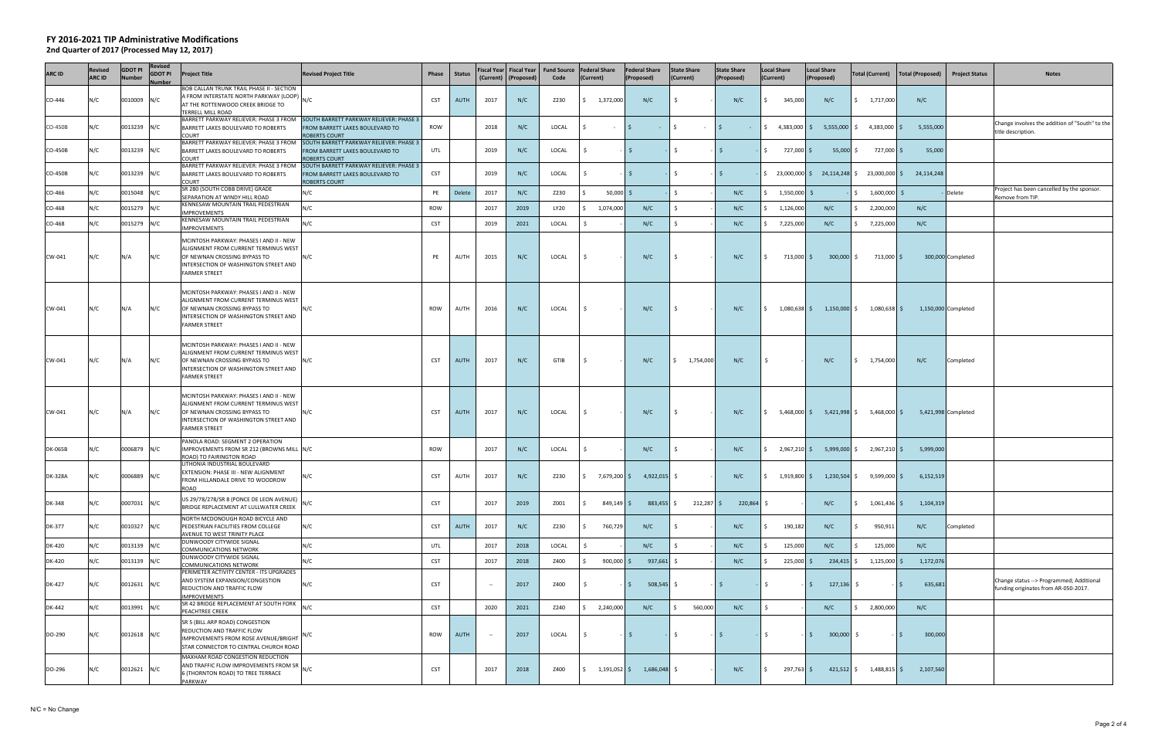| <b>ARC ID</b>  | Revised<br><b>ARC ID</b> | GDOT PI<br><b>Number</b> | Revised<br><b>GDOT PI</b><br>lumber | <b>Project Title</b>                                                                                                                                                                             | <b>Revised Project Title</b>                                                                                                              | Phase      | <b>Status</b> |               | (Current)   (Proposed) | Fiscal Year   Fiscal Year   Fund Source<br>Code | <b>Federal Share</b><br>(Current) |                       | <b>Federal Share</b><br>(Proposed)                              | <b>State Share</b><br>(Current) | <b>State Share</b><br>(Proposed) | <b>Local Share</b><br>(Current) | <b>Local Share</b><br>(Proposed) | Total (Current)                              | Total (Proposed)        | <b>Project Status</b> | <b>Notes</b>                                                                     |
|----------------|--------------------------|--------------------------|-------------------------------------|--------------------------------------------------------------------------------------------------------------------------------------------------------------------------------------------------|-------------------------------------------------------------------------------------------------------------------------------------------|------------|---------------|---------------|------------------------|-------------------------------------------------|-----------------------------------|-----------------------|-----------------------------------------------------------------|---------------------------------|----------------------------------|---------------------------------|----------------------------------|----------------------------------------------|-------------------------|-----------------------|----------------------------------------------------------------------------------|
| CO-446         | N/C                      | 0010009 N/C              |                                     | BOB CALLAN TRUNK TRAIL PHASE II - SECTION<br>A FROM INTERSTATE NORTH PARKWAY (LOOP) N/C<br>AT THE ROTTENWOOD CREEK BRIDGE TO<br>TERRELL MILL ROAD                                                |                                                                                                                                           | <b>CST</b> | <b>AUTH</b>   | 2017          | N/C                    | Z230                                            | 1,372,000                         |                       | N/C                                                             | S.                              | N/C                              | 345,000                         | N/C                              | 1,717,000                                    | N/C                     |                       |                                                                                  |
| CO-450B        | N/C                      | 0013239 N/C              |                                     | BARRETT LAKES BOULEVARD TO ROBERTS<br><b>COURT</b>                                                                                                                                               | BARRETT PARKWAY RELIEVER: PHASE 3 FROM SOUTH BARRETT PARKWAY RELIEVER: PHASE 3<br>FROM BARRETT LAKES BOULEVARD TO<br><b>ROBERTS COURT</b> | ROW        |               | 2018          | N/C                    | LOCAL                                           |                                   | $\sim$ $ \sim$<br>IS. |                                                                 | S.                              | $\sim$                           |                                 | 4,383,000 \$ 5,555,000           | 4,383,000 \$                                 | 5,555,000               |                       | Change involves the addition of "South" to the<br>title description.             |
| CO-450B        | N/C                      | 0013239 N/C              |                                     | BARRETT PARKWAY RELIEVER: PHASE 3 FROM<br>BARRETT LAKES BOULEVARD TO ROBERTS<br><b>COURT</b>                                                                                                     | SOUTH BARRETT PARKWAY RELIEVER: PHASE 3<br>FROM BARRETT LAKES BOULEVARD TO<br><b>ROBERTS COURT</b>                                        | UTL        |               | 2019          | N/C                    | LOCAL                                           | Ś.                                | IS.                   |                                                                 | \$                              | IS.                              | 727,000 \$                      | 55,000                           | 727,000 \$<br>S.                             | 55,000                  |                       |                                                                                  |
| CO-450B        | N/C                      | 0013239 N/C              |                                     | BARRETT PARKWAY RELIEVER: PHASE 3 FROM<br>BARRETT LAKES BOULEVARD TO ROBERTS<br><b>COURT</b>                                                                                                     | SOUTH BARRETT PARKWAY RELIEVER: PHASE 3<br>FROM BARRETT LAKES BOULEVARD TO<br><b>ROBERTS COURT</b>                                        | <b>CST</b> |               | 2019          | N/C                    | LOCAL                                           | Ś.                                | IS.                   |                                                                 | \$                              | -15                              | IS.                             | 23,000,000 \$ 24,114,248 \$      | 23,000,000 \$                                | 24,114,248              |                       |                                                                                  |
| CO-466         | N/C                      | 0015048 N/C              |                                     | SR 280 (SOUTH COBB DRIVE) GRADE<br>SEPARATION AT WINDY HILL ROAD                                                                                                                                 | N/C                                                                                                                                       | PE         | Delete        | 2017          | N/C                    | Z230                                            |                                   | $50,000$ \$           |                                                                 | $\zeta$                         | N/C                              | $1,550,000$ \$                  |                                  | 1,600,000 \$                                 |                         | Delete                | Project has been cancelled by the sponsor.<br>Remove from TIP.                   |
| CO-468         | N/C                      | 0015279 N/C              |                                     | KENNESAW MOUNTAIN TRAIL PEDESTRIAN                                                                                                                                                               | N/C                                                                                                                                       | ROW        |               | 2017          | 2019                   | LY20                                            | 1,074,000                         |                       | N/C                                                             | $\zeta$                         | N/C                              | 1,126,000                       | N/C                              | 2,200,000                                    | N/C                     |                       |                                                                                  |
| CO-468         | N/C                      | 0015279 N/C              |                                     | <b>IMPROVEMENTS</b><br>KENNESAW MOUNTAIN TRAIL PEDESTRIAN                                                                                                                                        | N/C                                                                                                                                       | <b>CST</b> |               | 2019          | 2021                   | LOCAL                                           |                                   |                       | N/C                                                             |                                 | N/C                              | 7,225,000                       | N/C                              | 7,225,000                                    | N/C                     |                       |                                                                                  |
| CW-041         | N/C                      | N/A                      | N/C                                 | IMPROVEMENTS<br>MCINTOSH PARKWAY: PHASES I AND II - NEW<br>ALIGNMENT FROM CURRENT TERMINUS WEST<br>OF NEWNAN CROSSING BYPASS TO<br>INTERSECTION OF WASHINGTON STREET AND<br><b>FARMER STREET</b> | N/C                                                                                                                                       | PE         | AUTH          | 2015          | N/C                    | LOCAL                                           | Ŝ.                                |                       | N/C                                                             | S.                              | N/C                              | 713,000 \$                      | $300,000$ \$                     | 713,000 \$                                   |                         | 300,000 Completed     |                                                                                  |
| CW-041         | N/C                      | N/A                      | N/C                                 | MCINTOSH PARKWAY: PHASES I AND II - NEW<br>ALIGNMENT FROM CURRENT TERMINUS WEST<br>OF NEWNAN CROSSING BYPASS TO<br>INTERSECTION OF WASHINGTON STREET AND<br><b>FARMER STREET</b>                 | N/C                                                                                                                                       | ROW        | AUTH          | 2016          | N/C                    | LOCAL                                           | S.                                |                       | N/C                                                             | S.                              | N/C                              | S.                              |                                  | $1,080,638$ \$ $1,150,000$ \$ $1,080,638$ \$ |                         | 1,150,000 Completed   |                                                                                  |
| CW-041         | N/C                      | N/A                      | N/C                                 | MCINTOSH PARKWAY: PHASES I AND II - NEW<br>ALIGNMENT FROM CURRENT TERMINUS WEST<br>OF NEWNAN CROSSING BYPASS TO<br>INTERSECTION OF WASHINGTON STREET AND<br><b>FARMER STREET</b>                 | N/C                                                                                                                                       | <b>CST</b> | AUTH          | 2017          | N/C                    | GTIB                                            | S.                                |                       | N/C                                                             | \$1,754,000                     | N/C                              | \$                              | N/C                              | \$1,754,000                                  | N/C                     | Completed             |                                                                                  |
| CW-041         | N/C                      | N/A                      | N/C                                 | MCINTOSH PARKWAY: PHASES I AND II - NEW<br>ALIGNMENT FROM CURRENT TERMINUS WEST<br>OF NEWNAN CROSSING BYPASS TO<br>INTERSECTION OF WASHINGTON STREET AND<br><b>FARMER STREET</b>                 | N/C                                                                                                                                       | <b>CST</b> | AUTH          | 2017          | N/C                    | LOCAL                                           | Ŝ.                                |                       | N/C                                                             | S.                              | N/C                              | S.                              |                                  | $5,468,000$ \$ $5,421,998$ \$ $5,468,000$ \$ |                         | 5,421,998 Completed   |                                                                                  |
| <b>DK-065B</b> | N/C                      | 0006879 N/C              |                                     | PANOLA ROAD: SEGMENT 2 OPERATION<br>IMPROVEMENTS FROM SR 212 (BROWNS MILL N/C<br>ROAD) TO FAIRINGTON ROAD                                                                                        |                                                                                                                                           | ROW        |               | 2017          | N/C                    | LOCAL                                           | S                                 |                       | N/C                                                             | \$                              | N/C                              |                                 | 2,967,210 \$ 5,999,000 \$        | $2,967,210$ \$                               | 5,999,000               |                       |                                                                                  |
| <b>DK-328A</b> | N/C                      | 0006889 N/C              |                                     | LITHONIA INDUSTRIAL BOULEVARD<br>EXTENSION: PHASE III - NEW ALIGNMENT<br>FROM HILLANDALE DRIVE TO WOODROW<br>ROAD                                                                                | N/C                                                                                                                                       | <b>CST</b> | AUTH          | 2017          | N/C                    | Z230                                            |                                   |                       | $\frac{1}{2}$ 7,679,200 \$ 4,922,015 \$                         |                                 | N/C                              |                                 | $1,919,800 \div 1,230,504 \div$  | 9,599,000 \$                                 | 6,152,519               |                       |                                                                                  |
| DK-348         | N/C                      | 0007031 N/C              |                                     | US 29/78/278/SR 8 (PONCE DE LEON AVENUE)<br>BRIDGE REPLACEMENT AT LULLWATER CREEK                                                                                                                | N/C                                                                                                                                       | <b>CST</b> |               | 2017          | 2019                   | Z001                                            | Ś.                                | $849,149$ \$          | 883,455 \$                                                      | $212,287$ \$                    | $220,864$ \$                     |                                 | N/C                              | $1,061,436$ \$                               | 1,104,319               |                       |                                                                                  |
| DK-377         | N/C                      | 0010327 N/C              |                                     | NORTH MCDONOUGH ROAD BICYCLE AND<br>PEDESTRIAN FACILITIES FROM COLLEGE<br>AVENUE TO WEST TRINITY PLACE                                                                                           | N/C                                                                                                                                       | <b>CST</b> | AUTH          | 2017          | N/C                    | Z230                                            | Ś.                                | 760,729               | N/C                                                             | \$                              | N/C                              | 190,182                         | N/C                              | 950,911                                      | N/C                     | Completed             |                                                                                  |
| DK-420         | N/C                      | 0013139 N/C              |                                     | DUNWOODY CITYWIDE SIGNAL<br>COMMUNICATIONS NETWORK                                                                                                                                               | N/C                                                                                                                                       | UTL        |               | 2017          | 2018                   | LOCAL                                           | Ś.                                |                       | N/C                                                             | Ŝ.                              | N/C                              | 125,000                         | N/C                              | 125,000                                      | N/C                     |                       |                                                                                  |
| DK-420         | N/C                      | 0013139 N/C              |                                     | DUNWOODY CITYWIDE SIGNAL<br>COMMUNICATIONS NETWORK                                                                                                                                               | N/C                                                                                                                                       | <b>CST</b> |               | 2017          | 2018                   | Z400                                            |                                   | $900,000$ \$          | 937,661 \$                                                      |                                 | N/C                              | $225,000$ \$                    | 234,415                          | $1,125,000$ \$                               | 1,172,076               |                       |                                                                                  |
| DK-427         | N/C                      | 0012631 N/C              |                                     | PERIMETER ACTIVITY CENTER - ITS UPGRADES<br>AND SYSTEM EXPANSION/CONGESTION<br>REDUCTION AND TRAFFIC FLOW<br><b>IMPROVEMENTS</b>                                                                 | N/C                                                                                                                                       | <b>CST</b> |               | $\sim$ $\sim$ | 2017                   | Z400                                            | S.                                | ∣\$ ∶                 | 508,545                                                         |                                 | IS.                              | -S                              | 127,136<br>S.                    | -S                                           | 635,681<br>$\cdot$   \$ |                       | Change status --> Programmed; Additional<br>funding originates from AR-050-2017. |
| DK-442         | N/C                      | 0013991 N/C              |                                     | SR 42 BRIDGE REPLACEMENT AT SOUTH FORK<br>PEACHTREE CREEK                                                                                                                                        | N/C                                                                                                                                       | <b>CST</b> |               | 2020          | 2021                   | Z240                                            | 2,240,000<br>Ś.                   |                       | N/C                                                             | 560,000<br>\$                   | N/C                              |                                 | N/C                              | 2,800,000<br>S.                              | N/C                     |                       |                                                                                  |
| DO-290         | N/C                      | 0012618 N/C              |                                     | SR 5 (BILL ARP ROAD) CONGESTION<br>REDUCTION AND TRAFFIC FLOW<br>IMPROVEMENTS FROM ROSE AVENUE/BRIGHT<br>STAR CONNECTOR TO CENTRAL CHURCH ROAD                                                   | N/C                                                                                                                                       | ROW        | AUTH          | $\sim$        | 2017                   | LOCAL                                           | S.                                | -15                   |                                                                 | \$                              | $-5$                             | -1\$                            | - 15<br>$300,000$ \$             |                                              | 300,000<br>- IS-        |                       |                                                                                  |
| DO-296         | N/C                      | 0012621 N/C              |                                     | MAXHAM ROAD CONGESTION REDUCTION<br>AND TRAFFIC FLOW IMPROVEMENTS FROM SR N/C<br>6 (THORNTON ROAD) TO TREE TERRACE<br>PARKWAY                                                                    |                                                                                                                                           | <b>CST</b> |               | 2017          | 2018                   | Z400                                            |                                   |                       | $\frac{1}{2}$ , 1,191,052 $\frac{1}{2}$ 1,686,048 $\frac{1}{2}$ |                                 | N/C                              | $297,763$ \$<br>S.              |                                  | $421,512$ \$ $1,488,815$ \$                  | 2,107,560               |                       |                                                                                  |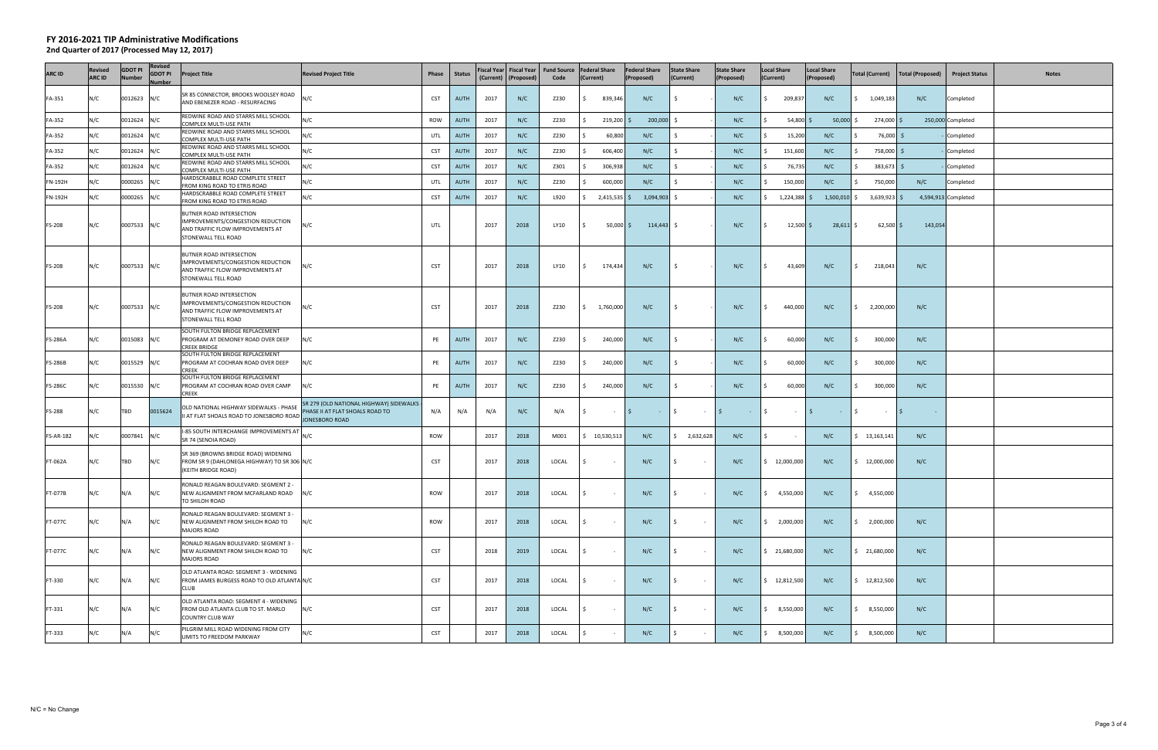| <b>ARC ID</b>    | Revised<br><b>ARC ID</b> | GDOT PI<br>Number | Revised<br><b>GDOT PI</b><br>Iumber | <b>Project Title</b>                                                                                                     | <b>Revised Project Title</b>                                               | Phase      | <b>Status</b> | <b>Fiscal Year</b><br>(Current) | (Proposed) | Fiscal Year   Fund Source   Federal Share<br>Code | (Current)  |                | <b>Federal Share</b><br>(Proposed) | <b>State Share</b><br>(Current)        | <b>State Share</b><br>(Proposed) | Local Share<br>(Current)   | <b>Local Share</b><br>(Proposed) | <b>Total (Current)</b>   | Total (Proposed)   | <b>Project Status</b><br><b>Notes</b> |
|------------------|--------------------------|-------------------|-------------------------------------|--------------------------------------------------------------------------------------------------------------------------|----------------------------------------------------------------------------|------------|---------------|---------------------------------|------------|---------------------------------------------------|------------|----------------|------------------------------------|----------------------------------------|----------------------------------|----------------------------|----------------------------------|--------------------------|--------------------|---------------------------------------|
| FA-351           | N/C                      | 0012623 N/C       |                                     | SR 85 CONNECTOR, BROOKS WOOLSEY ROAD<br>AND EBENEZER ROAD - RESURFACING                                                  | N/C                                                                        | <b>CST</b> | AUTH          | 2017                            | N/C        | Z230                                              |            | 839,346        | N/C                                | - \$                                   | N/C                              | Ś.<br>209,837              | N/C                              | \$1,049,183              | N/C                | Completed                             |
| FA-352           | N/C                      | 0012624 N/C       |                                     | REDWINE ROAD AND STARRS MILL SCHOOL<br>COMPLEX MULTI-USE PATH                                                            | N/C                                                                        | ROW        | <b>AUTH</b>   | 2017                            | N/C        | Z230                                              |            | $219,200$ \$   | $200,000$ \$                       |                                        | N/C                              | $54,800$ \$                | $50,000$ \$                      | 274,000 \$               |                    | 250,000 Completed                     |
| FA-352           | N/C                      | 0012624 N/C       |                                     | REDWINE ROAD AND STARRS MILL SCHOOL<br>COMPLEX MULTI-USE PATH                                                            | ١/C                                                                        | UTL        | <b>AUTH</b>   | 2017                            | N/C        | Z230                                              |            | 60,800         | N/C                                | - Ś                                    | N/C                              | 15,200                     | N/C                              | 76,000 \$                |                    | Completed                             |
| FA-352           | N/C                      | 0012624 N/C       |                                     | REDWINE ROAD AND STARRS MILL SCHOOL                                                                                      | N/C                                                                        | <b>CST</b> | <b>AUTH</b>   | 2017                            | N/C        | Z230                                              |            | 606,400        | N/C                                |                                        | N/C                              | 151,600                    | N/C                              | 758,000 \$               |                    | Completed                             |
| FA-352           | N/C                      | 0012624 N/C       |                                     | COMPLEX MULTI-USE PATH<br>REDWINE ROAD AND STARRS MILL SCHOOL                                                            | N/C                                                                        | <b>CST</b> | <b>AUTH</b>   | 2017                            | N/C        | Z301                                              |            | 306,938        | N/C                                | -Ś                                     | N/C                              | 76,735                     | N/C                              | $383,673$ \$<br>S.       |                    | Completed                             |
| FN-192H          | N/C                      | 0000265 N/C       |                                     | COMPLEX MULTI-USE PATH<br>HARDSCRABBLE ROAD COMPLETE STREET                                                              | N/C                                                                        | UTL        | <b>AUTH</b>   | 2017                            | N/C        | Z230                                              |            | 600,000        | N/C                                | $\leq$                                 | N/C                              | 150,000                    | N/C                              | 750,000                  | N/C                | Completed                             |
| FN-192H          | N/C                      | 0000265 N/C       |                                     | FROM KING ROAD TO ETRIS ROAD<br>HARDSCRABBLE ROAD COMPLETE STREET                                                        |                                                                            | <b>CST</b> | AUTH          | 2017                            | N/C        | L920                                              |            |                | $3,094,903$ \$                     |                                        | N/C                              |                            | $1,500,010$ \$                   |                          |                    | 4,594,913 Completed                   |
|                  |                          |                   |                                     | FROM KING ROAD TO ETRIS ROAD                                                                                             | N/C                                                                        |            |               |                                 |            |                                                   |            | $2,415,535$ \$ |                                    |                                        |                                  | 1,224,388 \$               |                                  | 3,639,923 \$             |                    |                                       |
| FS-208           | N/C                      | 0007533 N/C       |                                     | BUTNER ROAD INTERSECTION<br>IMPROVEMENTS/CONGESTION REDUCTION<br>AND TRAFFIC FLOW IMPROVEMENTS AT<br>STONEWALL TELL ROAD | N/C                                                                        | UTL        |               | 2017                            | 2018       | LY10                                              | S.         | $50,000$ \$    | $114,443$ \$                       |                                        | N/C                              | $12,500$ \$                | $28,611$ \$                      | $62,500$ \$              | 143,054            |                                       |
| <b>FS-208</b>    | N/C                      | 0007533 N/C       |                                     | BUTNER ROAD INTERSECTION<br>IMPROVEMENTS/CONGESTION REDUCTION<br>AND TRAFFIC FLOW IMPROVEMENTS AT<br>STONEWALL TELL ROAD | N/C                                                                        | <b>CST</b> |               | 2017                            | 2018       | LY10                                              | \$         | 174,434        | N/C                                | IS.                                    | N/C                              | 43,609<br>S.               | N/C                              | $\frac{1}{2}$<br>218,043 | N/C                |                                       |
| FS-208           | N/C                      | 0007533 N/C       |                                     | BUTNER ROAD INTERSECTION<br>IMPROVEMENTS/CONGESTION REDUCTION<br>AND TRAFFIC FLOW IMPROVEMENTS AT<br>STONEWALL TELL ROAD | N/C                                                                        | <b>CST</b> |               | 2017                            | 2018       | Z230                                              | S.         | 1,760,000      | N/C                                | ∣ \$                                   | N/C                              | 440,000<br>S.              | N/C                              | \$2,200,000              | N/C                |                                       |
| <b>FS-286A</b>   | N/C                      | 0015083 N/C       |                                     | SOUTH FULTON BRIDGE REPLACEMENT<br>PROGRAM AT DEMONEY ROAD OVER DEEP<br><b>CREEK BRIDGE</b>                              | N/C                                                                        | PE         | AUTH          | 2017                            | N/C        | Z230                                              |            | 240,000        | N/C                                | - \$                                   | N/C                              | 60,000                     | N/C                              | 300,000<br>\$            | N/C                |                                       |
| <b>FS-286B</b>   | N/C                      | 0015529 N/C       |                                     | SOUTH FULTON BRIDGE REPLACEMENT<br>PROGRAM AT COCHRAN ROAD OVER DEEP<br><b>CREEK</b>                                     | N/C                                                                        | PE         | AUTH          | 2017                            | N/C        | Z230                                              | -S         | 240,000        | N/C                                | - \$                                   | N/C                              | 60,000<br>S.               | N/C                              | \$<br>300,000            | N/C                |                                       |
| <b>FS-286C</b>   | N/C                      | 0015530 N/C       |                                     | SOUTH FULTON BRIDGE REPLACEMENT<br>PROGRAM AT COCHRAN ROAD OVER CAMP<br><b>CREEK</b>                                     | N/C                                                                        | PE         | AUTH          | 2017                            | N/C        | Z230                                              | -S         | 240,000        | N/C                                | - \$                                   | N/C                              | 60,000                     | N/C                              | \$<br>300,000            | N/C                |                                       |
| FS-288           | N/C                      | <b>TBD</b>        | 0015624                             | OLD NATIONAL HIGHWAY SIDEWALKS - PHASE<br>II AT FLAT SHOALS ROAD TO JONESBORO ROAD JONESBORO ROAD                        | SR 279 (OLD NATIONAL HIGHWAY) SIDEWALKS<br>PHASE II AT FLAT SHOALS ROAD TO | N/A        | N/A           | N/A                             | N/C        | N/A                                               | $\ddot{s}$ | $\sim$ $-$     | $\sim$<br>$ \sqrt{5}$              | $ \sqrt{5}$                            | $\sim 10^{-1}$                   | $\mathsf{I}$<br>$\sim 100$ | $-15$<br>$\sim$                  | $\sim 10^{-11}$          | <b>S</b><br>$\sim$ |                                       |
| <b>FS-AR-182</b> | N/C                      | 0007841 N/C       |                                     | I-85 SOUTH INTERCHANGE IMPROVEMENTS AT<br>SR 74 (SENOIA ROAD)                                                            |                                                                            | <b>ROW</b> |               | 2017                            | 2018       | M001                                              |            | \$10,530,513   | N/C                                | \$2,632,628                            | N/C                              | \$<br>$\sim 100$           | N/C                              | \$13,163,141             | N/C                |                                       |
| FT-062A          | N/C                      | <b>TBD</b>        | N/C                                 | SR 369 (BROWNS BRIDGE ROAD) WIDENING<br>FROM SR 9 (DAHLONEGA HIGHWAY) TO SR 306 N/C<br>(KEITH BRIDGE ROAD)               |                                                                            | CST        |               | 2017                            | 2018       | LOCAL                                             | s          | $\sim$         | N/C                                | I \$<br>$\sim$ $-$                     | N/C                              | \$12,000,000               | N/C                              | \$12,000,000             | N/C                |                                       |
| FT-077B          | N/C                      | N/A               | N/C                                 | RONALD REAGAN BOULEVARD: SEGMENT 2 -<br>NEW ALIGNMENT FROM MCFARLAND ROAD<br>TO SHILOH ROAD                              | N/C                                                                        | <b>ROW</b> |               | 2017                            | 2018       | LOCAL                                             |            |                | N/C                                | <b>IS</b>                              | N/C                              | $\frac{1}{2}$ 4,550,000    | N/C                              | \$4,550,000              |                    |                                       |
| FT-077C          | N/C                      | N/A               | N/C                                 | RONALD REAGAN BOULEVARD: SEGMENT 3 -<br>NEW ALIGNMENT FROM SHILOH ROAD TO<br><b>MAJORS ROAD</b>                          | N/C                                                                        | ROW        |               | 2017                            | 2018       | LOCAL                                             | Ŝ.         | $\sim$ $-$     | N/C                                | $\vert \mathsf{s} \vert$<br>$\sim 100$ | N/C                              | \$2,000,000                | N/C                              | \$2,000,000              | N/C                |                                       |
| FT-077C          | N/C                      | N/A               | N/C                                 | RONALD REAGAN BOULEVARD: SEGMENT 3 -<br>NEW ALIGNMENT FROM SHILOH ROAD TO<br><b>MAJORS ROAD</b>                          | N/C                                                                        | <b>CST</b> |               | 2018                            | 2019       | LOCAL                                             |            | $\sim$         | N/C                                | IS.<br>$\sim$ $-$                      | N/C                              | \$21,680,000               | N/C                              | \$21,680,000             | N/C                |                                       |
| FT-330           | N/C                      | N/A               | N/C                                 | OLD ATLANTA ROAD: SEGMENT 3 - WIDENING<br>FROM JAMES BURGESS ROAD TO OLD ATLANTA N/C<br><b>CLUB</b>                      |                                                                            | <b>CST</b> |               | 2017                            | 2018       | LOCAL                                             |            | $\sim$         | N/C                                | I\$<br>$\sim$ $-$                      | N/C                              | \$12,812,500               | N/C                              | \$12,812,500             | N/C                |                                       |
| FT-331           | N/C                      | N/A               | N/C                                 | OLD ATLANTA ROAD: SEGMENT 4 - WIDENING<br>FROM OLD ATLANTA CLUB TO ST. MARLO<br><b>COUNTRY CLUB WAY</b>                  | N/C                                                                        | <b>CST</b> |               | 2017                            | 2018       | LOCAL                                             |            | $\sim$         | N/C                                | l S<br>$\sim$ $-$                      | N/C                              | \$, 8, 550, 000            | N/C                              | \$, 8, 550, 000          | N/C                |                                       |
| FT-333           | N/C                      | N/A               | N/C                                 | PILGRIM MILL ROAD WIDENING FROM CITY<br>LIMITS TO FREEDOM PARKWAY                                                        | N/C                                                                        | <b>CST</b> |               | 2017                            | 2018       | LOCAL                                             |            | $\sim$         | N/C                                | I\$<br>$\sim$ $-$                      | N/C                              | \$,500,000                 | N/C                              | \$,500,000               | N/C                |                                       |